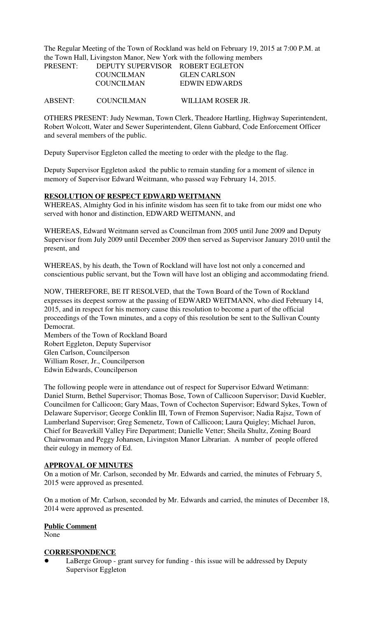The Regular Meeting of the Town of Rockland was held on February 19, 2015 at 7:00 P.M. at the Town Hall, Livingston Manor, New York with the following members

| <b>PRESENT:</b> | DEPUTY SUPERVISOR ROBERT EGLETON |                     |
|-----------------|----------------------------------|---------------------|
|                 | <b>COUNCILMAN</b>                | <b>GLEN CARLSON</b> |
|                 | <b>COUNCILMAN</b>                | EDWIN EDWARDS       |
| ABSENT:         | <b>COUNCILMAN</b>                | WILLIAM ROSER JR.   |

OTHERS PRESENT: Judy Newman, Town Clerk, Theadore Hartling, Highway Superintendent, Robert Wolcott, Water and Sewer Superintendent, Glenn Gabbard, Code Enforcement Officer and several members of the public.

Deputy Supervisor Eggleton called the meeting to order with the pledge to the flag.

Deputy Supervisor Eggleton asked the public to remain standing for a moment of silence in memory of Supervisor Edward Weitmann, who passed way February 14, 2015.

### **RESOLUTION OF RESPECT EDWARD WEITMANN**

WHEREAS, Almighty God in his infinite wisdom has seen fit to take from our midst one who served with honor and distinction, EDWARD WEITMANN, and

WHEREAS, Edward Weitmann served as Councilman from 2005 until June 2009 and Deputy Supervisor from July 2009 until December 2009 then served as Supervisor January 2010 until the present, and

WHEREAS, by his death, the Town of Rockland will have lost not only a concerned and conscientious public servant, but the Town will have lost an obliging and accommodating friend.

NOW, THEREFORE, BE IT RESOLVED, that the Town Board of the Town of Rockland expresses its deepest sorrow at the passing of EDWARD WEITMANN, who died February 14, 2015, and in respect for his memory cause this resolution to become a part of the official proceedings of the Town minutes, and a copy of this resolution be sent to the Sullivan County Democrat.

Members of the Town of Rockland Board Robert Eggleton, Deputy Supervisor Glen Carlson, Councilperson William Roser, Jr., Councilperson Edwin Edwards, Councilperson

The following people were in attendance out of respect for Supervisor Edward Wetimann: Daniel Sturm, Bethel Supervisor; Thomas Bose, Town of Callicoon Supervisor; David Kuebler, Councilmen for Callicoon; Gary Maas, Town of Cochecton Supervisor; Edward Sykes, Town of Delaware Supervisor; George Conklin III, Town of Fremon Supervisor; Nadia Rajsz, Town of Lumberland Supervisor; Greg Semenetz, Town of Callicoon; Laura Quigley; Michael Juron, Chief for Beaverkill Valley Fire Department; Danielle Vetter; Sheila Shultz, Zoning Board Chairwoman and Peggy Johansen, Livingston Manor Librarian. A number of people offered their eulogy in memory of Ed.

#### **APPROVAL OF MINUTES**

On a motion of Mr. Carlson, seconded by Mr. Edwards and carried, the minutes of February 5, 2015 were approved as presented.

On a motion of Mr. Carlson, seconded by Mr. Edwards and carried, the minutes of December 18, 2014 were approved as presented.

#### **Public Comment**

None

### **CORRESPONDENCE**

LaBerge Group - grant survey for funding - this issue will be addressed by Deputy Supervisor Eggleton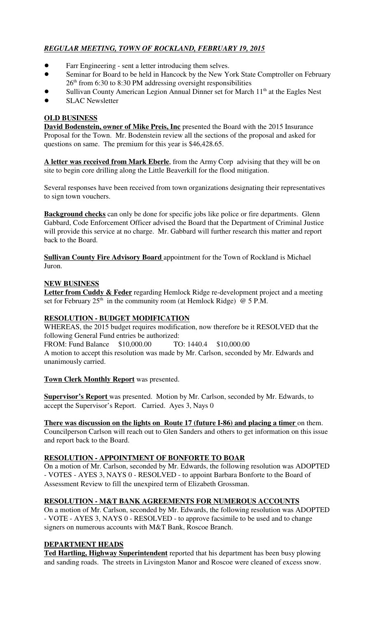# *REGULAR MEETING, TOWN OF ROCKLAND, FEBRUARY 19, 2015*

- Farr Engineering sent a letter introducing them selves.
- Seminar for Board to be held in Hancock by the New York State Comptroller on February  $26<sup>th</sup>$  from 6:30 to 8:30 PM addressing oversight responsibilities
- Sullivan County American Legion Annual Dinner set for March  $11<sup>th</sup>$  at the Eagles Nest
- **SLAC Newsletter**

# **OLD BUSINESS**

**David Bodenstein, owner of Mike Preis, Inc** presented the Board with the 2015 Insurance Proposal for the Town. Mr. Bodenstein review all the sections of the proposal and asked for questions on same. The premium for this year is \$46,428.65.

**A letter was received from Mark Eberle**, from the Army Corp advising that they will be on site to begin core drilling along the Little Beaverkill for the flood mitigation.

Several responses have been received from town organizations designating their representatives to sign town vouchers.

**Background checks** can only be done for specific jobs like police or fire departments. Glenn Gabbard, Code Enforcement Officer advised the Board that the Department of Criminal Justice will provide this service at no charge. Mr. Gabbard will further research this matter and report back to the Board.

**Sullivan County Fire Advisory Board** appointment for the Town of Rockland is Michael Juron.

## **NEW BUSINESS**

Letter from Cuddy & Feder regarding Hemlock Ridge re-development project and a meeting set for February  $25<sup>th</sup>$  in the community room (at Hemlock Ridge) @ 5 P.M.

## **RESOLUTION - BUDGET MODIFICATION**

WHEREAS, the 2015 budget requires modification, now therefore be it RESOLVED that the following General Fund entries be authorized:

FROM: Fund Balance \$10,000.00 TO: 1440.4 \$10,000.00

A motion to accept this resolution was made by Mr. Carlson, seconded by Mr. Edwards and unanimously carried.

## **Town Clerk Monthly Report** was presented.

**Supervisor's Report** was presented. Motion by Mr. Carlson, seconded by Mr. Edwards, to accept the Supervisor's Report. Carried. Ayes 3, Nays 0

**There was discussion on the lights on Route 17 (future I-86) and placing a timer** on them. Councilperson Carlson will reach out to Glen Sanders and others to get information on this issue and report back to the Board.

### **RESOLUTION - APPOINTMENT OF BONFORTE TO BOAR**

On a motion of Mr. Carlson, seconded by Mr. Edwards, the following resolution was ADOPTED - VOTES - AYES 3, NAYS 0 - RESOLVED - to appoint Barbara Bonforte to the Board of Assessment Review to fill the unexpired term of Elizabeth Grossman.

## **RESOLUTION - M&T BANK AGREEMENTS FOR NUMEROUS ACCOUNTS**

On a motion of Mr. Carlson, seconded by Mr. Edwards, the following resolution was ADOPTED - VOTE - AYES 3, NAYS 0 - RESOLVED - to approve facsimile to be used and to change signers on numerous accounts with M&T Bank, Roscoe Branch.

## **DEPARTMENT HEADS**

**Ted Hartling, Highway Superintendent** reported that his department has been busy plowing and sanding roads. The streets in Livingston Manor and Roscoe were cleaned of excess snow.